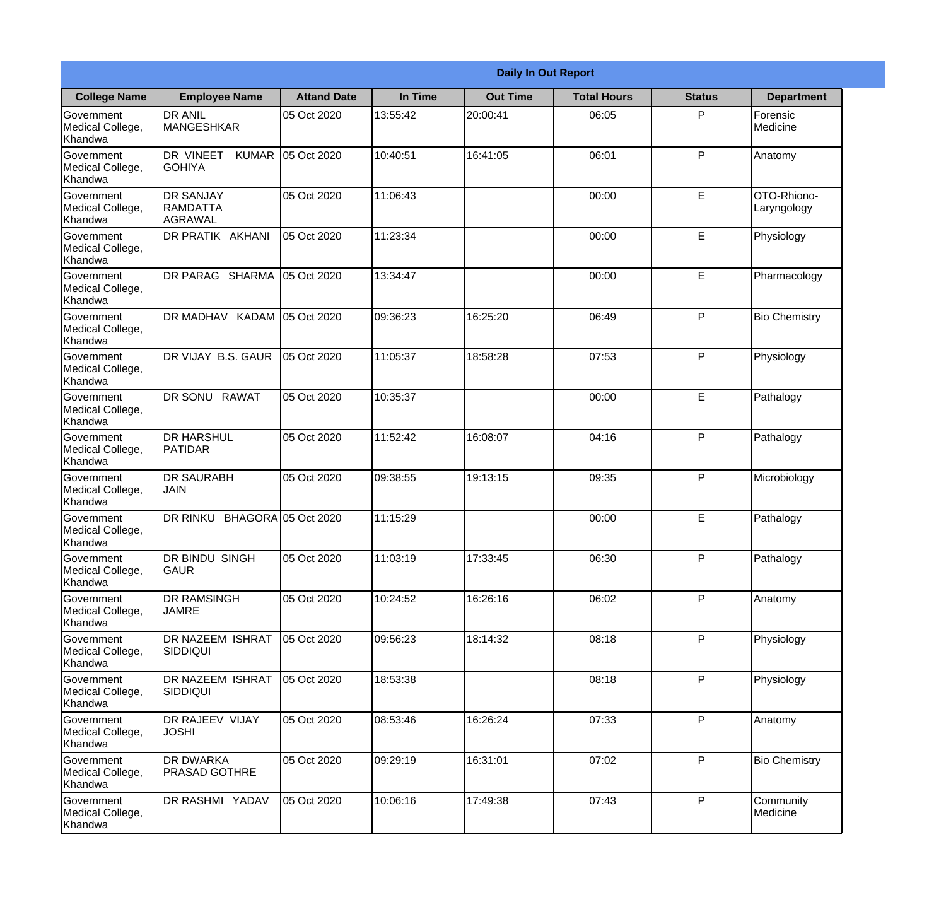|                                                  |                                                |                     |          | <b>Daily In Out Report</b> |                    |               |                            |
|--------------------------------------------------|------------------------------------------------|---------------------|----------|----------------------------|--------------------|---------------|----------------------------|
| <b>College Name</b>                              | <b>Employee Name</b>                           | <b>Attand Date</b>  | In Time  | <b>Out Time</b>            | <b>Total Hours</b> | <b>Status</b> | <b>Department</b>          |
| Government<br>Medical College,<br>Khandwa        | <b>DR ANIL</b><br><b>MANGESHKAR</b>            | 05 Oct 2020         | 13:55:42 | 20:00:41                   | 06:05              | P             | Forensic<br>Medicine       |
| Government<br>Medical College,<br>Khandwa        | DR VINEET<br><b>GOHIYA</b>                     | KUMAR 05 Oct 2020   | 10:40:51 | 16:41:05                   | 06:01              | P             | Anatomy                    |
| <b>Government</b><br>Medical College,<br>Khandwa | <b>DR SANJAY</b><br><b>RAMDATTA</b><br>AGRAWAL | 05 Oct 2020         | 11:06:43 |                            | 00:00              | E             | OTO-Rhiono-<br>Laryngology |
| <b>Government</b><br>Medical College,<br>Khandwa | <b>DR PRATIK AKHANI</b>                        | 05 Oct 2020         | 11:23:34 |                            | 00:00              | E             | Physiology                 |
| Government<br>Medical College,<br>Khandwa        | DR PARAG SHARMA                                | 05 Oct 2020         | 13:34:47 |                            | 00:00              | E             | Pharmacology               |
| Government<br>Medical College,<br>Khandwa        | DR MADHAV KADAM 05 Oct 2020                    |                     | 09:36:23 | 16:25:20                   | 06:49              | P             | <b>Bio Chemistry</b>       |
| <b>Government</b><br>Medical College,<br>Khandwa | DR VIJAY B.S. GAUR                             | 05 Oct 2020         | 11:05:37 | 18:58:28                   | 07:53              | P             | Physiology                 |
| <b>Government</b><br>Medical College,<br>Khandwa | DR SONU RAWAT                                  | 05 Oct 2020         | 10:35:37 |                            | 00:00              | E             | Pathalogy                  |
| Government<br>Medical College,<br>Khandwa        | <b>DR HARSHUL</b><br><b>PATIDAR</b>            | 05 Oct 2020         | 11:52:42 | 16:08:07                   | 04:16              | P             | Pathalogy                  |
| Government<br>Medical College,<br>Khandwa        | <b>DR SAURABH</b><br><b>JAIN</b>               | 05 Oct 2020         | 09:38:55 | 19:13:15                   | 09:35              | P             | Microbiology               |
| Government<br>Medical College,<br>Khandwa        | DR RINKU                                       | BHAGORA 05 Oct 2020 | 11:15:29 |                            | 00:00              | E             | Pathalogy                  |
| Government<br>Medical College,<br>Khandwa        | <b>DR BINDU SINGH</b><br><b>GAUR</b>           | 05 Oct 2020         | 11:03:19 | 17:33:45                   | 06:30              | P.            | Pathalogy                  |
| Government<br>Medical College,<br>Khandwa        | <b>DR RAMSINGH</b><br><b>JAMRE</b>             | 05 Oct 2020         | 10:24:52 | 16:26:16                   | 06:02              | P             | Anatomy                    |
| Government<br>Medical College,<br>Khandwa        | <b>DR NAZEEM ISHRAT</b><br><b>SIDDIQUI</b>     | 05 Oct 2020         | 09:56:23 | 18:14:32                   | 08:18              | P             | Physiology                 |
| Government<br>Medical College,<br>Khandwa        | <b>DR NAZEEM ISHRAT</b><br> SIDDIQUI           | 05 Oct 2020         | 18:53:38 |                            | 08:18              | P             | Physiology                 |
| Government<br>Medical College,<br>Khandwa        | <b>DR RAJEEV VIJAY</b><br><b>JOSHI</b>         | 05 Oct 2020         | 08:53:46 | 16:26:24                   | 07:33              | P             | Anatomy                    |
| Government<br>Medical College,<br>Khandwa        | <b>DR DWARKA</b><br><b>PRASAD GOTHRE</b>       | 05 Oct 2020         | 09:29:19 | 16:31:01                   | 07:02              | P             | <b>Bio Chemistry</b>       |
| Government<br>Medical College,<br>Khandwa        | <b>DR RASHMI YADAV</b>                         | 05 Oct 2020         | 10:06:16 | 17:49:38                   | 07:43              | P             | Community<br>Medicine      |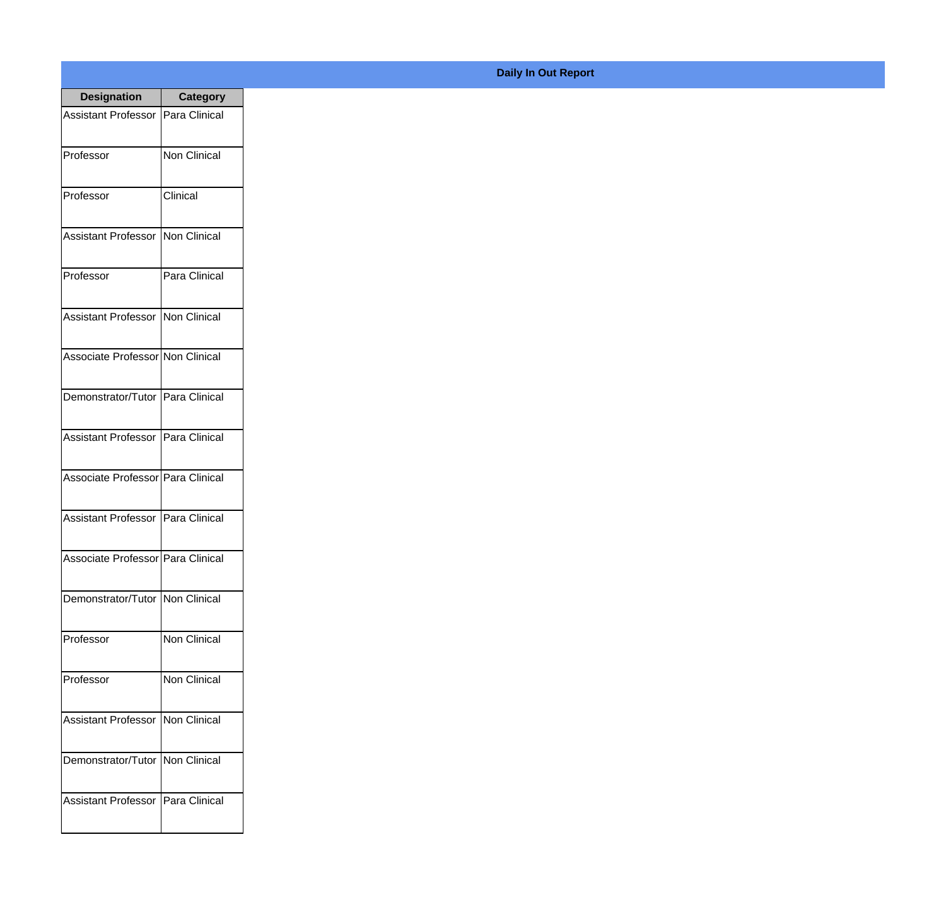| <b>Designation</b>                  | <b>Category</b>     |
|-------------------------------------|---------------------|
| Assistant Professor   Para Clinical |                     |
| Professor                           | Non Clinical        |
| Professor                           | Clinical            |
| Assistant Professor                 | Non Clinical        |
| Professor                           | Para Clinical       |
| Assistant Professor   Non Clinical  |                     |
| Associate Professor Non Clinical    |                     |
| Demonstrator/Tutor   Para Clinical  |                     |
| Assistant Professor   Para Clinical |                     |
| Associate Professor Para Clinical   |                     |
| Assistant Professor Para Clinical   |                     |
| Associate Professor Para Clinical   |                     |
| Demonstrator/Tutor Non Clinical     |                     |
| Professor                           | <b>Non Clinical</b> |
| Professor                           | Non Clinical        |
| <b>Assistant Professor</b>          | Non Clinical        |
| Demonstrator/Tutor   Non Clinical   |                     |
| <b>Assistant Professor</b>          | Para Clinical       |

## **Daily In Out Report**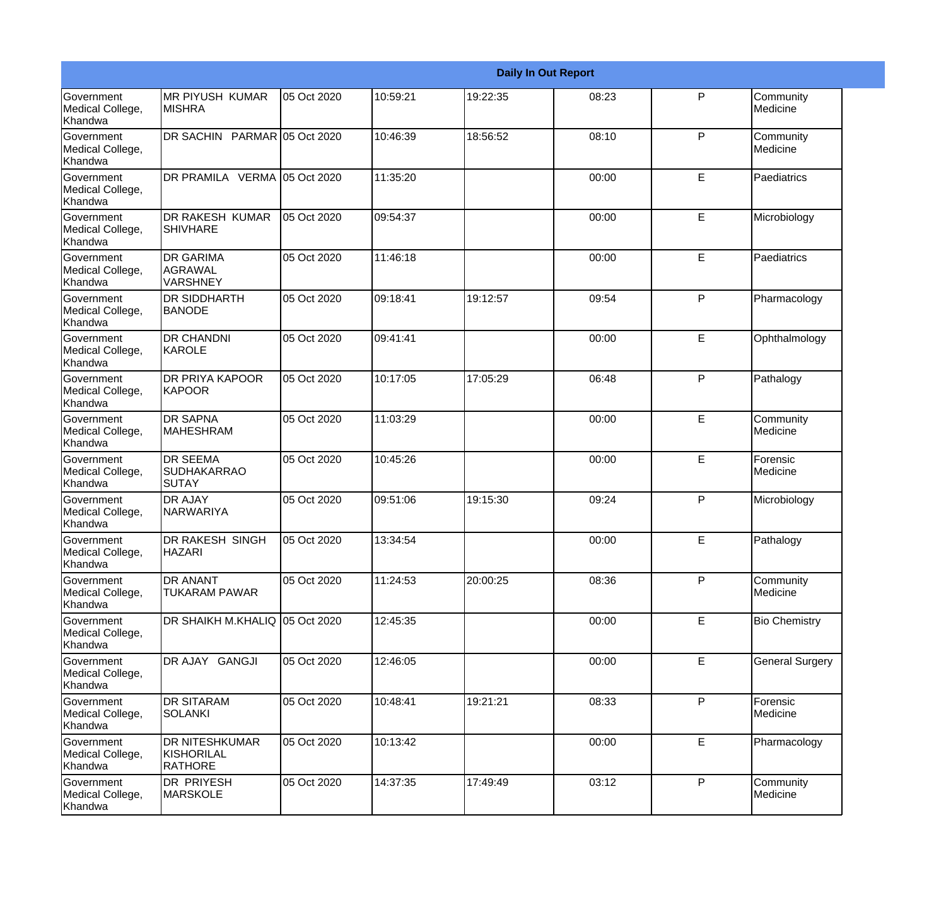|                                                  |                                                       |             |          |          | <b>Daily In Out Report</b> |              |                        |
|--------------------------------------------------|-------------------------------------------------------|-------------|----------|----------|----------------------------|--------------|------------------------|
| Government<br>Medical College,<br>Khandwa        | <b>MR PIYUSH KUMAR</b><br><b>MISHRA</b>               | 05 Oct 2020 | 10:59:21 | 19:22:35 | 08:23                      | P            | Community<br>Medicine  |
| Government<br>Medical College,<br>Khandwa        | DR SACHIN PARMAR 05 Oct 2020                          |             | 10:46:39 | 18:56:52 | 08:10                      | $\mathsf{P}$ | Community<br>Medicine  |
| <b>Government</b><br>Medical College,<br>Khandwa | DR PRAMILA VERMA 05 Oct 2020                          |             | 11:35:20 |          | 00:00                      | E            | Paediatrics            |
| <b>Government</b><br>Medical College,<br>Khandwa | <b>DR RAKESH KUMAR</b><br><b>SHIVHARE</b>             | 05 Oct 2020 | 09:54:37 |          | 00:00                      | E            | Microbiology           |
| Government<br>Medical College,<br>Khandwa        | <b>DR GARIMA</b><br><b>AGRAWAL</b><br><b>VARSHNEY</b> | 05 Oct 2020 | 11:46:18 |          | 00:00                      | E            | Paediatrics            |
| Government<br>Medical College,<br><b>Khandwa</b> | DR SIDDHARTH<br><b>BANODE</b>                         | 05 Oct 2020 | 09:18:41 | 19:12:57 | 09:54                      | $\mathsf{P}$ | Pharmacology           |
| Government<br>Medical College,<br>Khandwa        | <b>DR CHANDNI</b><br>KAROLE                           | 05 Oct 2020 | 09:41:41 |          | 00:00                      | E            | Ophthalmology          |
| Government<br>Medical College,<br>Khandwa        | DR PRIYA KAPOOR<br>KAPOOR                             | 05 Oct 2020 | 10:17:05 | 17:05:29 | 06:48                      | $\mathsf{P}$ | Pathalogy              |
| Government<br>Medical College,<br>Khandwa        | <b>DR SAPNA</b><br><b>MAHESHRAM</b>                   | 05 Oct 2020 | 11:03:29 |          | 00:00                      | E            | Community<br>Medicine  |
| <b>Government</b><br>Medical College,<br>Khandwa | <b>DR SEEMA</b><br><b>SUDHAKARRAO</b><br>SUTAY        | 05 Oct 2020 | 10:45:26 |          | 00:00                      | E            | Forensic<br>Medicine   |
| Government<br>Medical College,<br>Khandwa        | <b>DR AJAY</b><br>NARWARIYA                           | 05 Oct 2020 | 09:51:06 | 19:15:30 | 09:24                      | P            | Microbiology           |
| Government<br>Medical College,<br>Khandwa        | DR RAKESH SINGH<br><b>HAZARI</b>                      | 05 Oct 2020 | 13:34:54 |          | 00:00                      | E            | Pathalogy              |
| Government<br>Medical College,<br>Khandwa        | DR ANANT<br><b>TUKARAM PAWAR</b>                      | 05 Oct 2020 | 11:24:53 | 20:00:25 | 08:36                      | P            | Community<br>Medicine  |
| Government<br>Medical College,<br>Khandwa        | DR SHAIKH M.KHALIQ 05 Oct 2020                        |             | 12:45:35 |          | 00:00                      | E            | <b>Bio Chemistry</b>   |
| Government<br>Medical College,<br>Khandwa        | DR AJAY GANGJI                                        | 05 Oct 2020 | 12:46:05 |          | 00:00                      | E            | <b>General Surgery</b> |
| Government<br>Medical College,<br>Khandwa        | <b>DR SITARAM</b><br><b>SOLANKI</b>                   | 05 Oct 2020 | 10:48:41 | 19:21:21 | 08:33                      | $\mathsf{P}$ | Forensic<br>Medicine   |
| Government<br>Medical College,<br>Khandwa        | DR NITESHKUMAR<br>KISHORILAL<br><b>RATHORE</b>        | 05 Oct 2020 | 10:13:42 |          | 00:00                      | E            | Pharmacology           |
| Government<br>Medical College,<br>Khandwa        | DR PRIYESH<br><b>MARSKOLE</b>                         | 05 Oct 2020 | 14:37:35 | 17:49:49 | 03:12                      | P            | Community<br>Medicine  |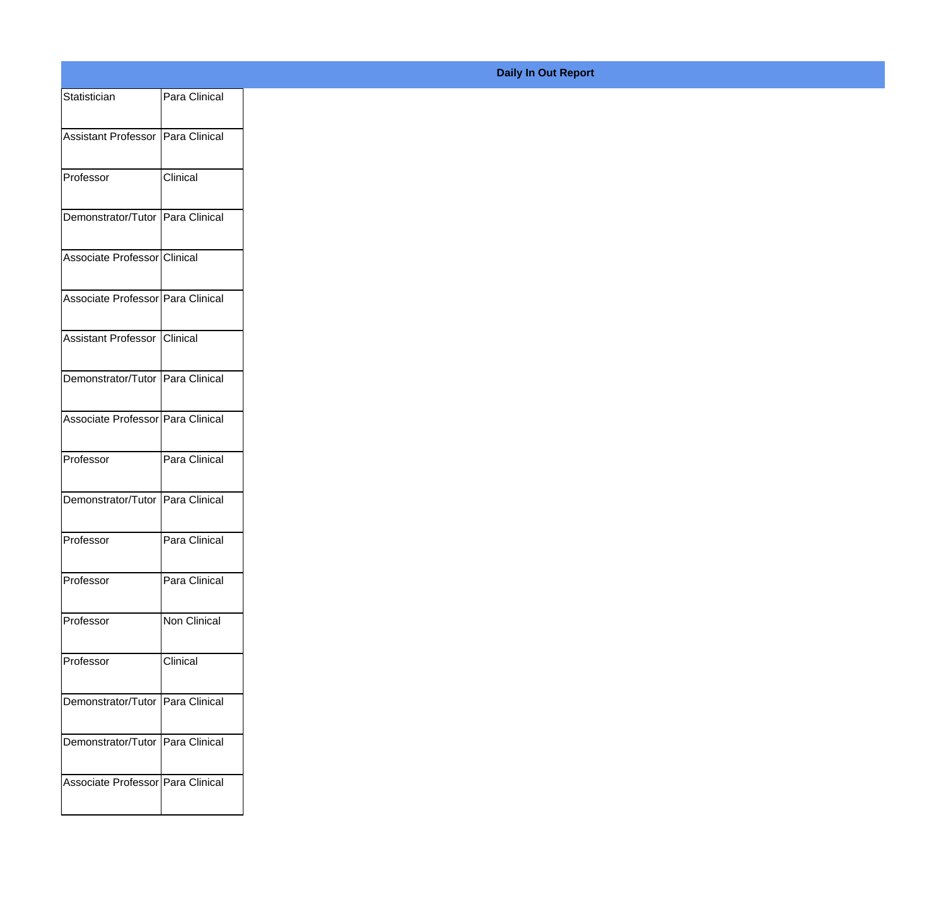| Statistician                        | Para Clinical |
|-------------------------------------|---------------|
| Assistant Professor   Para Clinical |               |
|                                     |               |
| Professor                           | Clinical      |
| Demonstrator/Tutor Para Clinical    |               |
| Associate Professor Clinical        |               |
| Associate Professor Para Clinical   |               |
| Assistant Professor Clinical        |               |
| Demonstrator/Tutor Para Clinical    |               |
| Associate Professor Para Clinical   |               |
| Professor                           | Para Clinical |
| Demonstrator/Tutor Para Clinical    |               |
| Professor                           | Para Clinical |
| Professor                           | Para Clinical |
| Professor                           | Non Clinical  |
| Professor                           | Clinical      |
|                                     |               |
| Demonstrator/Tutor Para Clinical    |               |
| Demonstrator/Tutor Para Clinical    |               |
| Associate Professor Para Clinical   |               |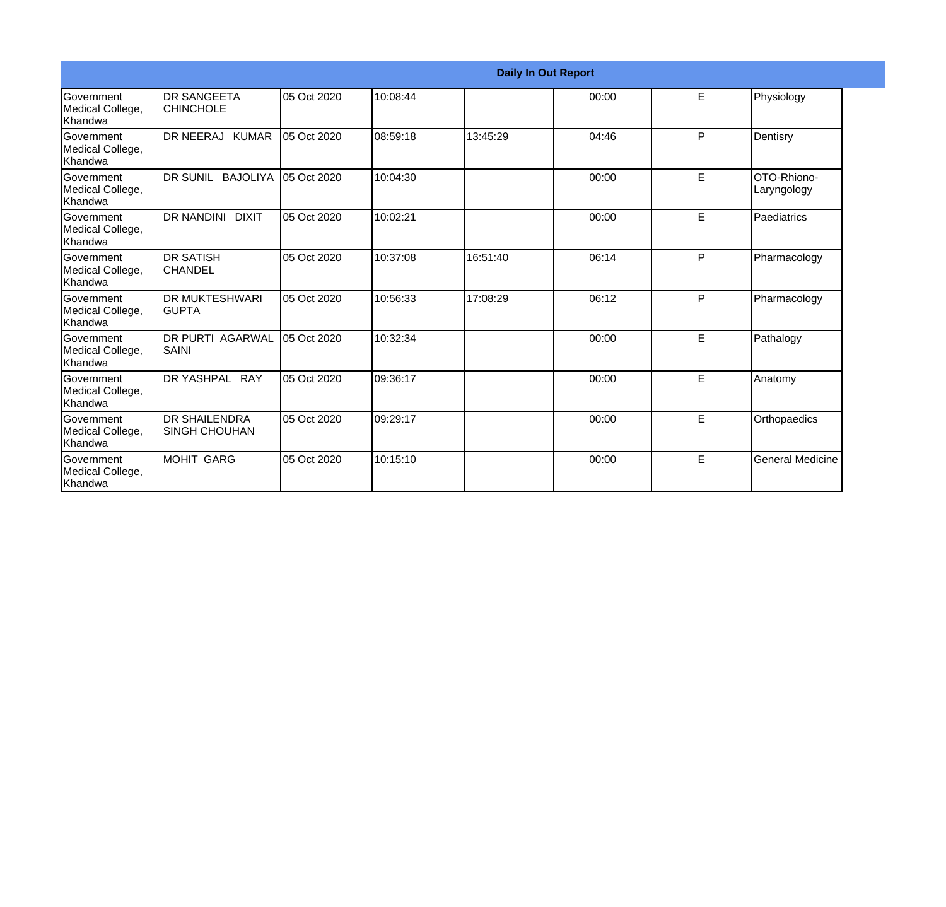|                                                         |                                              |             |           |          | <b>Daily In Out Report</b> |   |                            |
|---------------------------------------------------------|----------------------------------------------|-------------|-----------|----------|----------------------------|---|----------------------------|
| Government<br>Medical College,<br>Khandwa               | <b>DR SANGEETA</b><br><b>CHINCHOLE</b>       | 05 Oct 2020 | 10:08:44  |          | 00:00                      | E | Physiology                 |
| <b>Government</b><br>Medical College,<br>Khandwa        | <b>DR NEERAJ KUMAR</b>                       | 05 Oct 2020 | 08:59:18  | 13:45:29 | 04:46                      | P | Dentisry                   |
| <b>Government</b><br>Medical College,<br><b>Khandwa</b> | DR SUNIL BAJOLIYA                            | 05 Oct 2020 | 10:04:30  |          | 00:00                      | E | OTO-Rhiono-<br>Laryngology |
| Government<br>Medical College,<br><b>Khandwa</b>        | DR NANDINI DIXIT                             | 05 Oct 2020 | 10:02:21  |          | 00:00                      | E | Paediatrics                |
| <b>Government</b><br>Medical College,<br><b>Khandwa</b> | IDR SATISH<br><b>CHANDEL</b>                 | 05 Oct 2020 | 10:37:08  | 16:51:40 | 06:14                      | P | Pharmacology               |
| Government<br>Medical College,<br>Khandwa               | <b>DR MUKTESHWARI</b><br>IGUPTA              | 05 Oct 2020 | 10:56:33  | 17:08:29 | 06:12                      | P | Pharmacology               |
| <b>Government</b><br>Medical College,<br>Khandwa        | <b>DR PURTI AGARWAL</b><br>SAINI             | 05 Oct 2020 | 10:32:34  |          | 00:00                      | E | Pathalogy                  |
| Government<br>Medical College,<br>Khandwa               | DR YASHPAL RAY                               | 05 Oct 2020 | 09:36:17  |          | 00:00                      | E | Anatomy                    |
| Government<br>Medical College,<br>Khandwa               | <b>DR SHAILENDRA</b><br><b>SINGH CHOUHAN</b> | 05 Oct 2020 | 109:29:17 |          | 00:00                      | E | Orthopaedics               |
| Government<br>Medical College,<br>Khandwa               | MOHIT GARG                                   | 05 Oct 2020 | 10:15:10  |          | 00:00                      | E | <b>General Medicine</b>    |